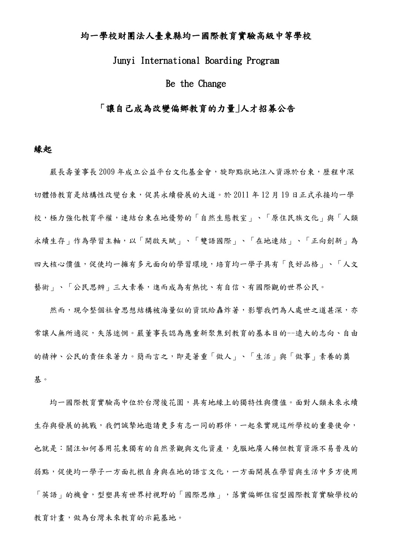### 均一學校財團法人臺東縣均一國際教育實驗高級中等學校

### Junyi International Boarding Program

### Be the Change

### 「讓自己成為改變偏鄉教育的力量」人才招募公告

#### 緣起

嚴長壽董事長 2009年成立公益平台文化基金會,旋即點狀地注入資源於台東,歷程中深 切體悟教育是結構性改變台東,促其永續發展的大道。於 2011 年 12 月 19 日正式承接均一學 校,極力強化教育平權,連結台東在地優勢的「自然生態教室」、「原住民族文化」與「人類 永續生存」作為學習主軸,以「開啟天賦」、「雙語國際」、「在地連結」、「正向創新」為 四大核心價值,促使均一擁有多元面向的學習環境,培育均一學子具有「良好品格」、「人文 藝術」、「公民思辨」三大素養,進而成為有熱忱、有自信、有國際觀的世界公民。

然而,現今整個社會思想結構被海量似的資訊給轟炸著,影響我們為人處世之道甚深,亦 常讓人無所適從,失落迷惘。嚴董事長認為應重新聚焦到教育的基本目的--遠大的志向、自由 的精神、公民的責任來著力。簡而言之,即是著重「做人」、「生活」與「做事」素養的奠 基。

均一國際教育實驗高中位於台灣後花園,具有地緣上的獨特性與價值。面對人類未來永續 生存與發展的挑戰,我們誠摯地邀請更多有志一同的夥伴,一起來實現這所學校的重要使命, 也就是:關注如何善用花東獨有的自然景觀與文化資產,克服地廣人稀但教育資源不易普及的 弱點,促使均一學子一方面扎根自身與在地的語言文化,一方面開展在學習與生活中多方使用 「英語」的機會,型塑具有世界村視野的「國際思維」,落實偏鄉住宿型國際教育實驗學校的 教育計畫,做為台灣未來教育的示範基地。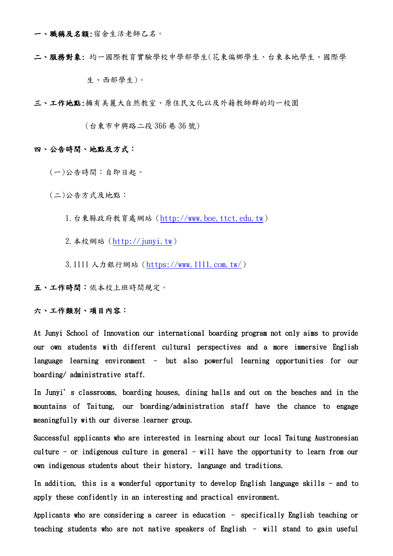一、職稱及名額:宿舍生活老師乙名。

二、服務對象: 均一國際教育實驗學校中學部學生(花東偏鄉學生、台東本地學生、國際學 生、西部學生)。

三、工作地點:擁有美麗大自然教室、原住民文化以及外籍教師群的均一校園

(台東市中興路二段 366 巷 36 號)

#### 四、公告時間、地點及方式:

(一)公告時間:自即日起。

(二)公告方式及地點:

1.台東縣政府教育處網站[\(http://www.boe.ttct.edu.tw\)](http://www.boe.ttct.edu.tw/)

2.本校網站[\(http://junyi.tw\)](http://junyi.tw/)

3.1111 人力銀行網站[\(https://www.1111.com.tw/\)](https://www.1111.com.tw/)

五、工作時間:依本校上班時間規定。

#### 六、工作類別、項目內容:

At Junyi School of Innovation our international boarding program not only aims to provide our own students with different cultural perspectives and a more immersive English language learning environment – but also powerful learning opportunities for our boarding/ administrative staff.

In Junyi's classrooms, boarding houses, dining halls and out on the beaches and in the mountains of Taitung, our boarding/administration staff have the chance to engage meaningfully with our diverse learner group.

Successful applicants who are interested in learning about our local Taitung Austronesian culture - or indigenous culture in general - will have the opportunity to learn from our own indigenous students about their history, language and traditions.

In addition, this is a wonderful opportunity to develop English language skills - and to apply these confidently in an interesting and practical environment.

Applicants who are considering a career in education – specifically English teaching or teaching students who are not native speakers of English – will stand to gain useful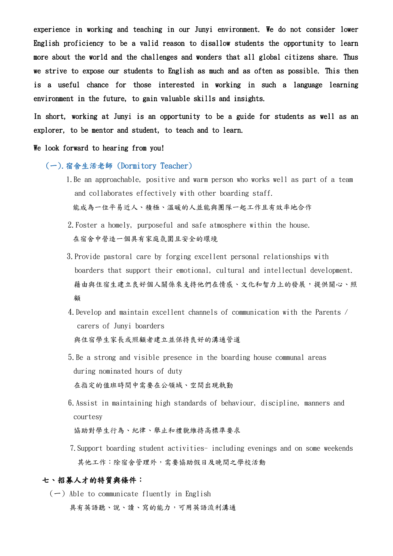experience in working and teaching in our Junyi environment. We do not consider lower English proficiency to be a valid reason to disallow students the opportunity to learn more about the world and the challenges and wonders that all global citizens share. Thus we strive to expose our students to English as much and as often as possible. This then is a useful chance for those interested in working in such a language learning environment in the future, to gain valuable skills and insights.

In short, working at Junyi is an opportunity to be a guide for students as well as an explorer, to be mentor and student, to teach and to learn.

#### We look forward to hearing from you!

#### (一).宿舍生活老師 (Dormitory Teacher)

- 1.Be an approachable, positive and warm person who works well as part of a team and collaborates effectively with other boarding staff. 能成為一位平易近人、積極、溫暖的人並能與團隊一起工作且有效率地合作
- 2.Foster a homely, purposeful and safe atmosphere within the house. 在宿舍中營造一個具有家庭氛圍且安全的環境
- 3.Provide pastoral care by forging excellent personal relationships with boarders that support their emotional, cultural and intellectual development. 藉由與住宿生建立良好個人關係來支持他們在情感、文化和智力上的發展,提供關心、照 顧
- 4.Develop and maintain excellent channels of communication with the Parents / carers of Junyi boarders 與住宿學生家長或照顧者建立並保持良好的溝通管道
- 5.Be a strong and visible presence in the boarding house communal areas during nominated hours of duty 在指定的值班時間中需要在公領域、空間出現執勤
- 6.Assist in maintaining high standards of behaviour, discipline, manners and courtesy

協助對學生行為、紀律、舉止和禮貌維持高標準要求

 7.Support boarding student activities- including evenings and on some weekends 其他工作:除宿舍管理外,需要協助假日及晚間之學校活動

#### 七、招募人才的特質與條件:

 $(-)$  Able to communicate fluently in English 具有英語聽、說、讀、寫的能力,可用英語流利溝通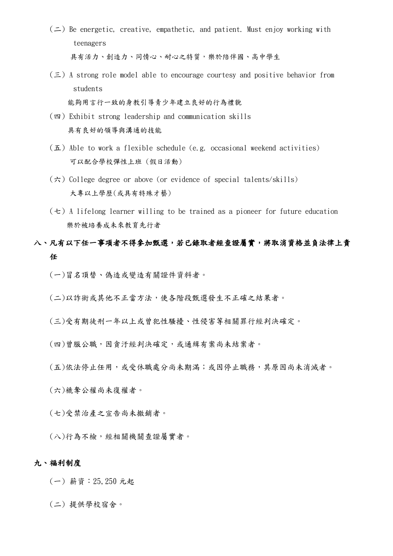- $($   $\Rightarrow$   $)$  Be energetic, creative, empathetic, and patient. Must enjoy working with teenagers 具有活力、創造力、同情心、耐心之特質,樂於陪伴國、高中學生
- $(\leq)$  A strong role model able to encourage courtesy and positive behavior from students 能夠用言行一致的身教引導青少年建立良好的行為禮貌
- (四) Exhibit strong leadership and communication skills 具有良好的領導與溝通的技能
- (五) Able to work a flexible schedule (e.g. occasional weekend activities) 可以配合學校彈性上班 (假日活動)
- $(\pi)$  College degree or above (or evidence of special talents/skills) 大專以上學歷(或具有特殊才藝)
- $(\pm)$  A lifelong learner willing to be trained as a pioneer for future education 樂於被培養成未來教育先行者

### 八、凡有以下任一事項者不得參加甄選,若已錄取者經查證屬實,將取消資格並負法律上責 任

(一)冒名頂替、偽造或變造有關證件資料者。

(二)以詐術或其他不正當方法,使各階段甄選發生不正確之結果者。

(三)受有期徒刑一年以上或曾犯性騷擾、性侵害等相關罪行經判決確定。

(四)曾服公職,因貪汙經判決確定,或通緝有案尚未結案者。

(五)依法停止任用,或受休職處分尚未期滿;或因停止職務,其原因尚未消滅者。

(六)褫奪公權尚未復權者。

(七)受禁治產之宣告尚未撤銷者。

(八)行為不檢,經相關機關查證屬實者。

### 九、福利制度

(一) 薪資:25,250 元起

(二) 提供學校宿舍。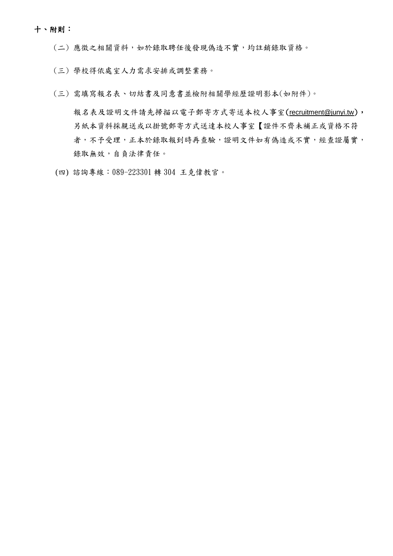#### 十、附則:

(二) 應徵之相關資料,如於錄取聘任後發現偽造不實,均註銷錄取資格。

- (三) 學校得依處室人力需求安排或調整業務。
- (三) 需填寫報名表、切結書及同意書並檢附相關學經歷證明影本(如附件)。

報名表及證明文件請先掃描以電子郵寄方式寄送本校人事室([recruitment@junyi.tw](mailto:recruitment@junyi.tw)), 另紙本資料採親送或以掛號郵寄方式送達本校人事室【證件不齊未補正或資格不符 者,不予受理,正本於錄取報到時再查驗,證明文件如有偽造或不實,經查證屬實, 錄取無效,自負法律責任。

(四) 諮詢專線:089-223301 轉 304 王克偉教官。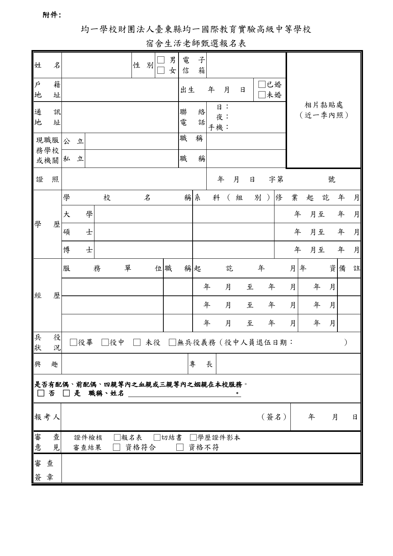附件:

# 均一學校財團法人臺東縣均一國際教育實驗高級中等學校

# 宿舍生活老師甄選報名表

| 姓                | 名                                                                                                                                                                            |   |              |   |   |    |   | 性            | 別                          |    | 男<br>女 | 電<br>信          | 子<br>箱          |   |   |          |               |   |   |                  |      |   |   |    |   |   |   |   |
|------------------|------------------------------------------------------------------------------------------------------------------------------------------------------------------------------|---|--------------|---|---|----|---|--------------|----------------------------|----|--------|-----------------|-----------------|---|---|----------|---------------|---|---|------------------|------|---|---|----|---|---|---|---|
| $\acute{P}$<br>地 | 籍<br>址                                                                                                                                                                       |   |              |   |   |    |   |              |                            |    |        | 出生              |                 | 年 |   | 月        | $\mathsf{H}%$ |   |   | 未婚               | 已婚   |   |   |    |   |   |   |   |
| 通<br>地           | 訊<br>址                                                                                                                                                                       |   |              |   |   |    |   |              |                            |    | 聯<br>電 | 絡<br>話          | 日:<br>夜:<br>手機: |   |   |          |               |   |   | 相片黏貼處<br>(近一季內照) |      |   |   |    |   |   |   |   |
|                  | 現職服<br>務學校                                                                                                                                                                   | 公 | 立            |   |   |    |   |              |                            |    |        | 職               | 稱               |   |   |          |               |   |   |                  |      |   |   |    |   |   |   |   |
|                  | 或機關                                                                                                                                                                          | 私 | 立            |   |   |    |   |              |                            |    |        | 職               | 稱               |   |   |          |               |   |   |                  |      |   |   |    |   |   |   |   |
| 證                | 照                                                                                                                                                                            |   |              |   |   |    |   |              |                            |    |        |                 |                 | 年 |   | 月        | $\Box$        |   |   | 字第               |      |   |   |    | 號 |   |   |   |
| 學                | 歷                                                                                                                                                                            | 學 |              |   | 校 |    |   |              | $\boldsymbol{\mathcal{Z}}$ |    |        | 稱               | 糸               |   | 科 | $\left($ | 組             |   | 別 | $\mathcal{E}$    | 俢    | 業 |   | 起  | 訖 |   | 年 | 月 |
|                  |                                                                                                                                                                              | 大 |              | 學 |   |    |   |              |                            |    |        |                 |                 |   |   |          |               |   |   |                  |      | 年 |   | 月至 |   |   | 年 | 月 |
|                  |                                                                                                                                                                              | 碩 |              | 士 |   |    |   |              |                            |    |        |                 |                 |   |   |          |               |   |   |                  |      | 年 |   | 月至 |   |   | 年 | 月 |
|                  |                                                                                                                                                                              | 博 |              | 士 |   |    |   |              |                            |    |        |                 |                 |   |   |          |               |   |   |                  |      | 年 |   | 月至 |   |   | 年 | 月 |
| 經                | 歷                                                                                                                                                                            | 服 |              |   | 務 |    | 單 |              |                            | 位職 |        |                 | 稱起              |   |   | 訖        |               |   | 年 |                  |      | 月 | 年 |    |   | 資 | 備 | 註 |
|                  |                                                                                                                                                                              |   |              |   |   |    |   |              |                            |    |        |                 |                 | 年 |   | 月        |               | 至 |   | 年                |      | 月 |   | 年  |   | 月 |   |   |
|                  |                                                                                                                                                                              |   |              |   |   |    |   |              |                            |    |        |                 |                 | 年 |   | 月        |               | 至 |   | 年                |      | 月 |   | 年  |   | 月 |   |   |
|                  |                                                                                                                                                                              |   |              |   |   |    |   |              |                            |    |        |                 |                 | 年 |   | 月        |               | 至 |   | 年                |      | 月 |   | 年  |   | 月 |   |   |
| 兵<br>狀           | 役<br>況                                                                                                                                                                       |   | □役畢          |   |   | 役中 |   |              | 未役                         |    |        | 無兵役義務(役中人員退伍日期: |                 |   |   |          |               |   |   |                  |      |   |   |    |   |   |   |   |
| 興                | 趣                                                                                                                                                                            |   |              |   |   |    |   |              |                            |    |        |                 | 專               | 長 |   |          |               |   |   |                  |      |   |   |    |   |   |   |   |
|                  | 是否有配偶、前配偶、四親等內之血親或三親等內之姻親在本校服務。<br>否□是 職稱、姓名<br>$\Box$<br><u> 1980 - Jan Stein Harry Harry Harry Harry Harry Harry Harry Harry Harry Harry Harry Harry Harry Harry Harry</u> |   |              |   |   |    |   |              |                            |    |        |                 |                 |   |   |          |               |   |   |                  |      |   |   |    |   |   |   |   |
|                  | 報考人                                                                                                                                                                          |   |              |   |   |    |   |              |                            |    |        |                 |                 |   |   |          |               |   |   |                  | (簽名) |   |   | 年  |   | 月 |   | 日 |
| 審<br>意           | 查<br>見                                                                                                                                                                       |   | 證件檢核<br>審查結果 |   |   |    |   | □報名表<br>資格符合 |                            |    | □切結書   |                 | □學歷證件影本<br>資格不符 |   |   |          |               |   |   |                  |      |   |   |    |   |   |   |   |
| 審                | 查                                                                                                                                                                            |   |              |   |   |    |   |              |                            |    |        |                 |                 |   |   |          |               |   |   |                  |      |   |   |    |   |   |   |   |
| 簽章               |                                                                                                                                                                              |   |              |   |   |    |   |              |                            |    |        |                 |                 |   |   |          |               |   |   |                  |      |   |   |    |   |   |   |   |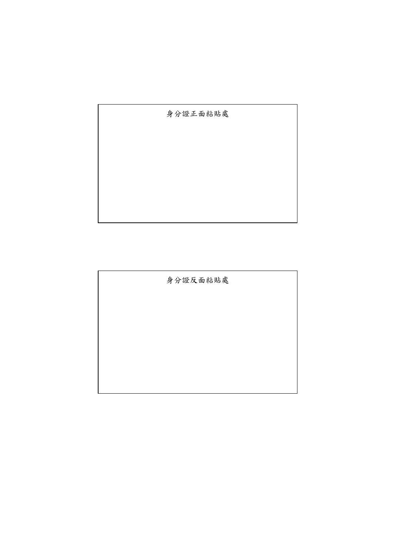身分證正面粘貼處

身分證反面粘貼處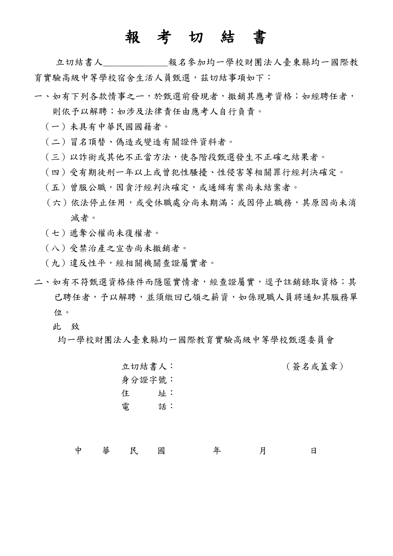# 報 考 切 結 書

 立切結書人\_\_\_\_\_\_\_\_\_\_\_\_\_\_報名參加均一學校財團法人臺東縣均一國際教 育實驗高級中等學校宿舍生活人員甄選,茲切結事項如下:

- 一、如有下列各款情事之ㄧ,於甄選前發現者,撤銷其應考資格;如經聘任者, 則依予以解聘;如涉及法律責任由應考人自行負責。
	- (一)未具有中華民國國籍者。
	- (二)冒名頂替、偽造或變造有關證件資料者。
	- (三)以詐術或其他不正當方法,使各階段甄選發生不正確之結果者。
	- (四)受有期徒刑一年以上或曾犯性騷擾、性侵害等相關罪行經判決確定。
	- (五)曾服公職,因貪汙經判決確定,或通緝有案尚未結案者。
	- (六)依法停止任用,或受休職處分尚未期滿;或因停止職務,其原因尚未消 滅者。
	- (七)遞奪公權尚未復權者。
	- (八)受禁治產之宣告尚未撤銷者。
	- (九)違反性平,經相關機關查證屬實者。
- 二、如有不符甄選資格條件而隱匿實情者,經查證屬實,逕予註銷錄取資格;其 已聘任者,予以解聘,並須繳回已領之薪資,如係現職人員將通知其服務單 位。
	- 此 致
		- 均一學校財團法人臺東縣均一國際教育實驗高級中等學校甄選委員會

立切結書人: (簽名或蓋章) 身分證字號: 住 址: 電 話:

中 華 民 國 年 月 日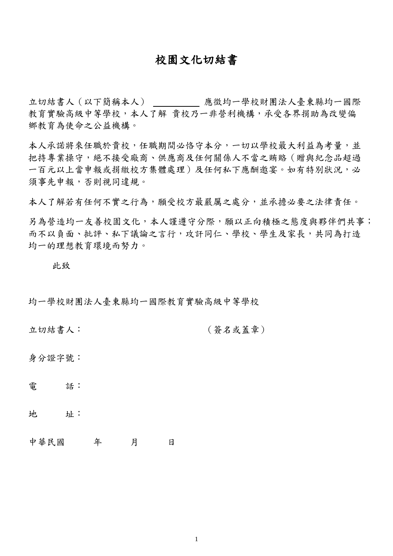## 校園文化切結書

立切結書人(以下簡稱本人) 應徵均一學校財團法人臺東縣均一國際 教育實驗高級中等學校,本人了解 貴校乃一非營利機構,承受各界捐助為改變偏 鄉教育為使命之公益機構。

本人承諾將來任職於貴校,任職期間必恪守本分,一切以學校最大利益為考量,並 把持專業操守,絕不接受廠商、供應商及任何關係人不當之賄賂(贈與紀念品超過 一百元以上當申報或捐繳校方集體處理)及任何私下應酬邀宴。如有特別狀況,必 須事先申報,否則視同違規。

本人了解若有任何不實之行為,願受校方最嚴厲之處分,並承擔必要之法律責任。

另為營造均一友善校園文化,本人謹遵守分際,願以正向積極之態度與夥伴們共事; 而不以負面、批評、私下議論之言行,攻訐同仁、學校、學生及家長,共同為打造 均一的理想教育環境而努力。

此致

均一學校財團法人臺東縣均一國際教育實驗高級中等學校

立切結書人: (簽名或蓋章)

身分證字號:

電 話:

地 址:

中華民國 年 月 日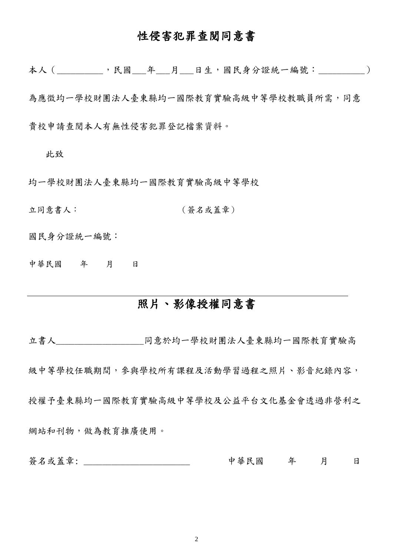# 性侵害犯罪查閱同意書

本人 ( ,民國 年 月 日生,國民身分證統一編號: )

為應徵均一學校財團法人臺東縣均一國際教育實驗高級中等學校教職員所需,同意 貴校申請查閱本人有無性侵害犯罪登記檔案資料。

此致

均一學校財團法人臺東縣均一國際教育實驗高級中等學校

立同意書人: (簽名或蓋章)

國民身分證統一編號:

中華民國 年 月 日

# 照片、影像授權同意書

立書人\_\_\_\_\_\_\_\_\_\_\_\_\_\_\_\_\_\_\_同意於均一學校財團法人臺東縣均一國際教育實驗高 級中等學校任職期間,參與學校所有課程及活動學習過程之照片、影音紀錄內容, 授權予臺東縣均一國際教育實驗高級中等學校及公益平台文化基金會透過非營利之 網站和刊物,做為教育推廣使用。

簽名或蓋章: \_\_\_\_\_\_\_\_\_\_\_\_\_\_\_\_\_\_\_\_\_\_\_\_\_\_\_\_\_ 中華民國 年 月 日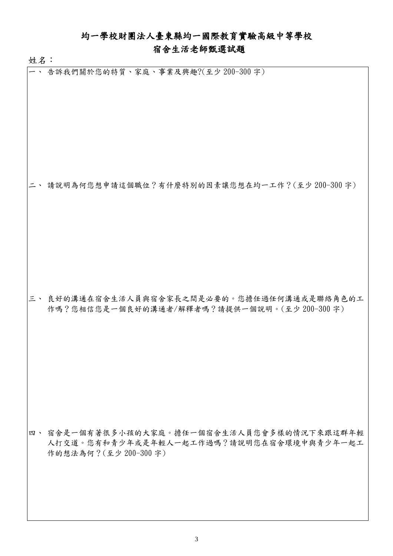### 均一學校財團法人臺東縣均一國際教育實驗高級中等學校

### 宿舍生活老師甄選試題

姓名:

一、 告訴我們關於您的特質、家庭、事業及興趣?(至少 200-300 字)

二、 請說明為何您想申請這個職位?有什麼特別的因素讓您想在均一工作?(至少 200-300 字)

三、 良好的溝通在宿舍生活人員與宿舍家長之間是必要的。您擔任過任何溝通或是聯絡角色的工 作嗎?您相信您是一個良好的溝通者/解釋者嗎?請提供一個說明。(至少 200-300 字)

四、 宿舍是一個有著很多小孩的大家庭。擔任一個宿舍生活人員您會多樣的情況下來跟這群年輕 人打交道。您有和青少年或是年輕人一起工作過嗎?請說明您在宿舍環境中與青少年一起工 作的想法為何?(至少 200-300 字)